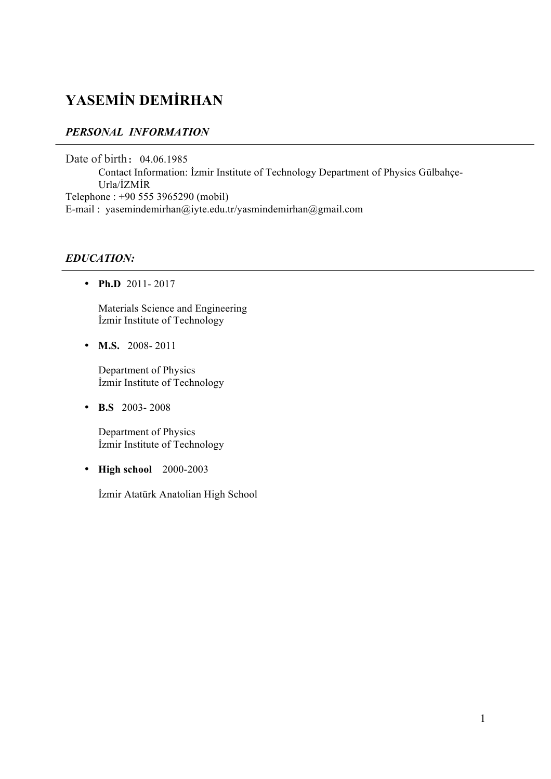# **YASEMİN DEMİRHAN**

# *PERSONAL INFORMATION*

Date of birth: 04.06.1985 Contact Information: İzmir Institute of Technology Department of Physics Gülbahçe-Urla/İZMİR Telephone : +90 555 3965290 (mobil) E-mail : yasemindemirhan@iyte.edu.tr/yasmindemirhan@gmail.com

## *EDUCATION:*

• **Ph.D** 2011- 2017

Materials Science and Engineering İzmir Institute of Technology

• **M.S.** 2008-2011

Department of Physics İzmir Institute of Technology

• **B.S** 2003- 2008

Department of Physics İzmir Institute of Technology

• **High school** 2000-2003

İzmir Atatürk Anatolian High School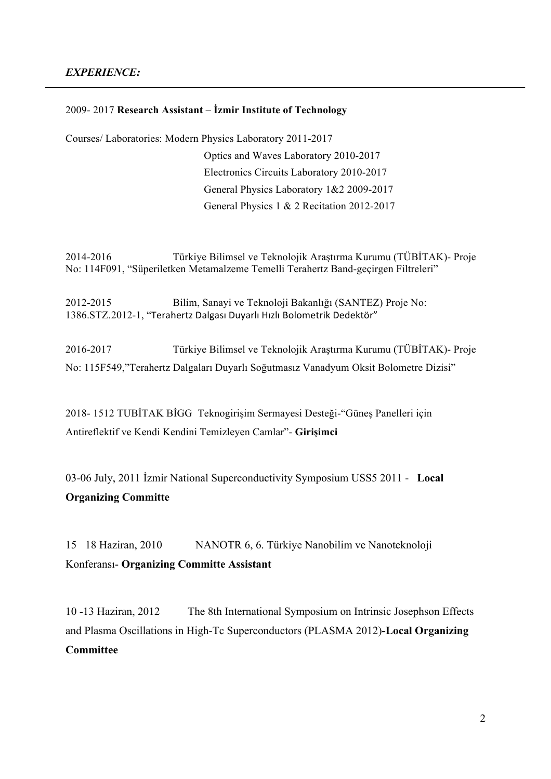#### *EXPERIENCE:*

#### 2009- 2017 **Research Assistant – İzmir Institute of Technology**

Courses/ Laboratories: Modern Physics Laboratory 2011-2017

 Optics and Waves Laboratory 2010-2017 Electronics Circuits Laboratory 2010-2017 General Physics Laboratory 1&2 2009-2017 General Physics 1 & 2 Recitation 2012-2017

2014-2016 Türkiye Bilimsel ve Teknolojik Araştırma Kurumu (TÜBİTAK)- Proje No: 114F091, "Süperiletken Metamalzeme Temelli Terahertz Band-geçirgen Filtreleri"

2012-2015 Bilim, Sanayi ve Teknoloji Bakanlığı (SANTEZ) Proje No: 1386.STZ.2012-1, "Terahertz Dalgası Duyarlı Hızlı Bolometrik Dedektör"

2016-2017Türkiye Bilimsel ve Teknolojik Araştırma Kurumu (TÜBİTAK)- Proje No: 115F549,"Terahertz Dalgaları Duyarlı Soğutmasız Vanadyum Oksit Bolometre Dizisi"

2018- 1512 TUBİTAK BİGG Teknogirişim Sermayesi Desteği-"Güneş Panelleri için Antireflektif ve Kendi Kendini Temizleyen Camlar"- **Girişimci**

03-06 July, 2011 İzmir National Superconductivity Symposium USS5 2011 - **Local Organizing Committe**

1518 Haziran, 2010 NANOTR 6, 6. Türkiye Nanobilim ve Nanoteknoloji Konferansı- **Organizing Committe Assistant**

10 -13 Haziran, 2012 The 8th International Symposium on Intrinsic Josephson Effects and Plasma Oscillations in High-Tc Superconductors (PLASMA 2012)**-Local Organizing Committee**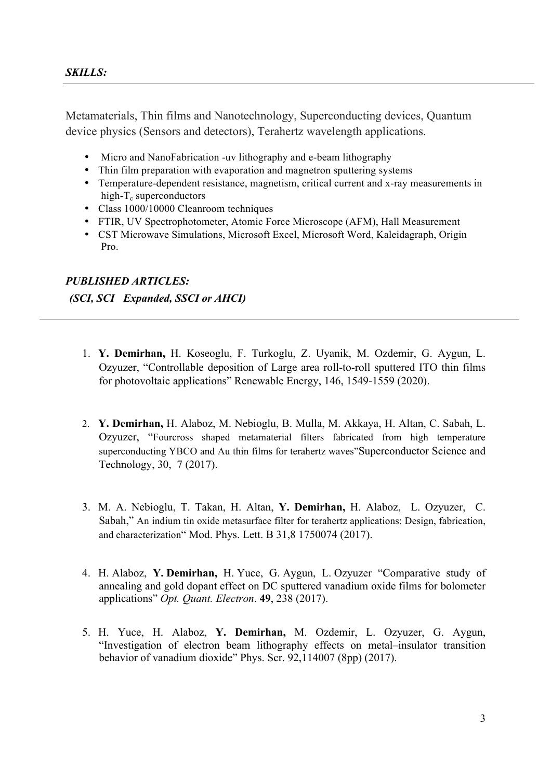Metamaterials, Thin films and Nanotechnology, Superconducting devices, Quantum device physics (Sensors and detectors), Terahertz wavelength applications.

- Micro and NanoFabrication -uv lithography and e-beam lithography
- Thin film preparation with evaporation and magnetron sputtering systems
- Temperature-dependent resistance, magnetism, critical current and x-ray measurements in high- $T_c$  superconductors
- Class 1000/10000 Cleanroom techniques
- FTIR, UV Spectrophotometer, Atomic Force Microscope (AFM), Hall Measurement
- CST Microwave Simulations, Microsoft Excel, Microsoft Word, Kaleidagraph, Origin Pro.

#### *PUBLISHED ARTICLES:*

*(SCI, SCI Expanded, SSCI or AHCI)* 

- 1. **Y. Demirhan,** H. Koseoglu, F. Turkoglu, Z. Uyanik, M. Ozdemir, G. Aygun, L. Ozyuzer, "Controllable deposition of Large area roll-to-roll sputtered ITO thin films for photovoltaic applications" Renewable Energy, 146, 1549-1559 (2020).
- 2. **Y. Demirhan,** H. Alaboz, M. Nebioglu, B. Mulla, M. Akkaya, H. Altan, C. Sabah, L. Ozyuzer, "Fourcross shaped metamaterial filters fabricated from high temperature superconducting YBCO and Au thin films for terahertz waves"Superconductor Science and Technology, 30, 7 (2017).
- 3. M. A. Nebioglu, T. Takan, H. Altan, **Y. Demirhan,** H. Alaboz, L. Ozyuzer, C. Sabah," An indium tin oxide metasurface filter for terahertz applications: Design, fabrication, and characterization" Mod. Phys. Lett. B 31,8 1750074 (2017).
- 4. H. Alaboz, **Y. Demirhan,** H. Yuce, G. Aygun, L. Ozyuzer "Comparative study of annealing and gold dopant effect on DC sputtered vanadium oxide films for bolometer applications" *Opt. Quant. Electron*. **49**, 238 (2017).
- 5. H. Yuce, H. Alaboz, **Y. Demirhan,** M. Ozdemir, L. Ozyuzer, G. Aygun, "Investigation of electron beam lithography effects on metal–insulator transition behavior of vanadium dioxide" Phys. Scr. 92,114007 (8pp) (2017).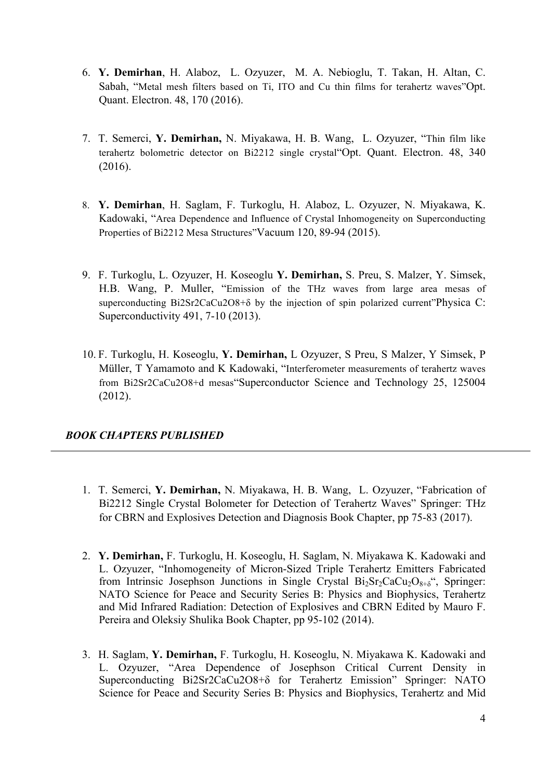- 6. **Y. Demirhan**, H. Alaboz, L. Ozyuzer, M. A. Nebioglu, T. Takan, H. Altan, C. Sabah, "Metal mesh filters based on Ti, ITO and Cu thin films for terahertz waves"Opt. Quant. Electron. 48, 170 (2016).
- 7. T. Semerci, **Y. Demirhan,** N. Miyakawa, H. B. Wang, L. Ozyuzer, "Thin film like terahertz bolometric detector on Bi2212 single crystal"Opt. Quant. Electron. 48, 340 (2016).
- 8. **Y. Demirhan**, H. Saglam, F. Turkoglu, H. Alaboz, L. Ozyuzer, N. Miyakawa, K. Kadowaki, "Area Dependence and Influence of Crystal Inhomogeneity on Superconducting Properties of Bi2212 Mesa Structures"Vacuum 120, 89-94 (2015).
- 9. F. Turkoglu, L. Ozyuzer, H. Koseoglu **Y. Demirhan,** S. Preu, S. Malzer, Y. Simsek, H.B. Wang, P. Muller, "Emission of the THz waves from large area mesas of superconducting Bi2Sr2CaCu2O8+δ by the injection of spin polarized current"Physica C: Superconductivity 491, 7-10 (2013).
- 10. F. Turkoglu, H. Koseoglu, **Y. Demirhan,** L Ozyuzer, S Preu, S Malzer, Y Simsek, P Müller, T Yamamoto and K Kadowaki, "Interferometer measurements of terahertz waves from Bi2Sr2CaCu2O8+d mesas"Superconductor Science and Technology 25, 125004 (2012).

## *BOOK CHAPTERS PUBLISHED*

- 1. T. Semerci, **Y. Demirhan,** N. Miyakawa, H. B. Wang, L. Ozyuzer, "Fabrication of Bi2212 Single Crystal Bolometer for Detection of Terahertz Waves" Springer: THz for CBRN and Explosives Detection and Diagnosis Book Chapter, pp 75-83 (2017).
- 2. **Y. Demirhan,** F. Turkoglu, H. Koseoglu, H. Saglam, N. Miyakawa K. Kadowaki and L. Ozyuzer, "Inhomogeneity of Micron-Sized Triple Terahertz Emitters Fabricated from Intrinsic Josephson Junctions in Single Crystal  $Bi<sub>2</sub>Sr<sub>2</sub>CaCu<sub>2</sub>O<sub>8+\delta</sub>$ ", Springer: NATO Science for Peace and Security Series B: Physics and Biophysics, Terahertz and Mid Infrared Radiation: Detection of Explosives and CBRN Edited by Mauro F. Pereira and Oleksiy Shulika Book Chapter, pp 95-102 (2014).
- 3. H. Saglam, **Y. Demirhan,** F. Turkoglu, H. Koseoglu, N. Miyakawa K. Kadowaki and L. Ozyuzer, "Area Dependence of Josephson Critical Current Density in Superconducting Bi2Sr2CaCu2O8+δ for Terahertz Emission" Springer: NATO Science for Peace and Security Series B: Physics and Biophysics, Terahertz and Mid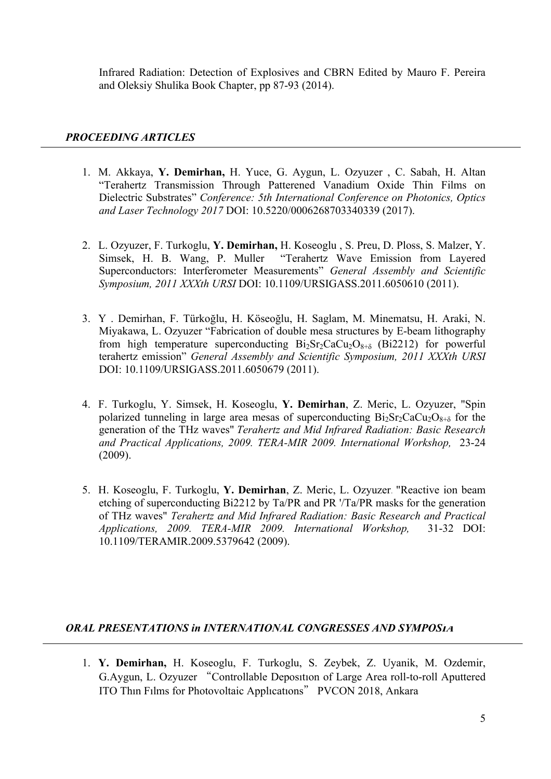Infrared Radiation: Detection of Explosives and CBRN Edited by Mauro F. Pereira and Oleksiy Shulika Book Chapter, pp 87-93 (2014).

### *PROCEEDING ARTICLES*

- 1. M. Akkaya, **Y. Demirhan,** H. Yuce, G. Aygun, L. Ozyuzer , C. Sabah, H. Altan "Terahertz Transmission Through Patterened Vanadium Oxide Thin Films on Dielectric Substrates" *Conference: 5th International Conference on Photonics, Optics and Laser Technology 2017* DOI: 10.5220/0006268703340339 (2017).
- 2. L. Ozyuzer, F. Turkoglu, **Y. Demirhan,** H. Koseoglu , S. Preu, D. Ploss, S. Malzer, Y. Simsek, H. B. Wang, P. Muller "Terahertz Wave Emission from Layered Superconductors: Interferometer Measurements" *General Assembly and Scientific Symposium, 2011 XXXth URSI* DOI: 10.1109/URSIGASS.2011.6050610 (2011).
- 3. Y . Demirhan, F. Türkoğlu, H. Köseoğlu, H. Saglam, M. Minematsu, H. Araki, N. Miyakawa, L. Ozyuzer "Fabrication of double mesa structures by E-beam lithography from high temperature superconducting  $Bi_2Sr_2CaCu_2O_{8+\delta}$  (Bi2212) for powerful terahertz emission" *General Assembly and Scientific Symposium, 2011 XXXth URSI* DOI: 10.1109/URSIGASS.2011.6050679 (2011).
- 4. F. Turkoglu, Y. Simsek, H. Koseoglu, **Y. Demirhan**, Z. Meric, L. Ozyuzer, "Spin polarized tunneling in large area mesas of superconducting  $Bi_2Sr_2CaCu_2O_{8+\delta}$  for the generation of the THz waves" *Terahertz and Mid Infrared Radiation: Basic Research and Practical Applications, 2009. TERA-MIR 2009. International Workshop,* 23-24 (2009).
- 5. H. Koseoglu, F. Turkoglu, **Y. Demirhan**, Z. Meric, L. Ozyuzer. "Reactive ion beam etching of superconducting Bi2212 by Ta/PR and PR '/Ta/PR masks for the generation of THz waves" *Terahertz and Mid Infrared Radiation: Basic Research and Practical Applications, 2009. TERA-MIR 2009. International Workshop,* 31-32 DOI: 10.1109/TERAMIR.2009.5379642 (2009).

## *ORAL PRESENTATIONS in INTERNATIONAL CONGRESSES AND SYMPOSIA*

1. **Y. Demirhan,** H. Koseoglu, F. Turkoglu, S. Zeybek, Z. Uyanik, M. Ozdemir, G.Aygun, L. Ozyuzer "Controllable Deposıtıon of Large Area roll-to-roll Aputtered ITO Thın Fılms for Photovoltaic Applıcatıons" PVCON 2018, Ankara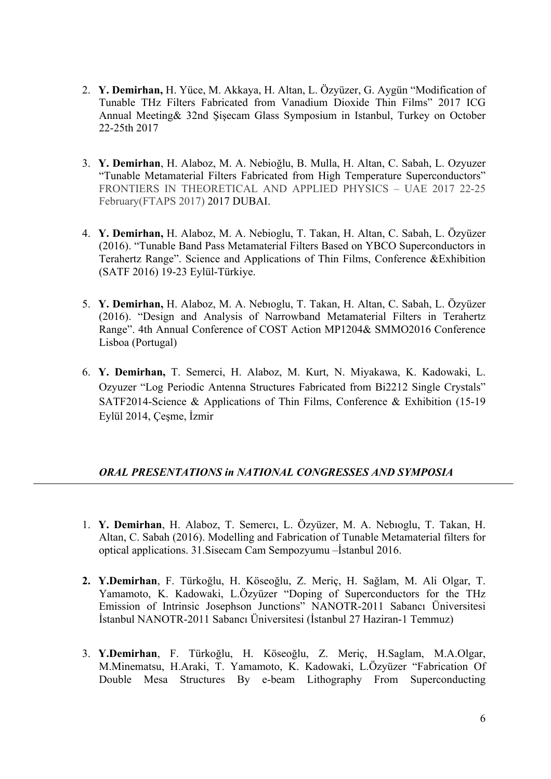- 2. **Y. Demirhan,** H. Yüce, M. Akkaya, H. Altan, L. Özyüzer, G. Aygün "Modification of Tunable THz Filters Fabricated from Vanadium Dioxide Thin Films" 2017 ICG Annual Meeting& 32nd Şişecam Glass Symposium in Istanbul, Turkey on October 22-25th 2017
- 3. **Y. Demirhan**, H. Alaboz, M. A. Nebioğlu, B. Mulla, H. Altan, C. Sabah, L. Ozyuzer "Tunable Metamaterial Filters Fabricated from High Temperature Superconductors" FRONTIERS IN THEORETICAL AND APPLIED PHYSICS – UAE 2017 22-25 February(FTAPS 2017) 2017 DUBAI.
- 4. **Y. Demirhan,** H. Alaboz, M. A. Nebioglu, T. Takan, H. Altan, C. Sabah, L. Özyüzer (2016). "Tunable Band Pass Metamaterial Filters Based on YBCO Superconductors in Terahertz Range". Science and Applications of Thin Films, Conference &Exhibition (SATF 2016) 19-23 Eylül-Türkiye.
- 5. **Y. Demirhan,** H. Alaboz, M. A. Nebıoglu, T. Takan, H. Altan, C. Sabah, L. Özyüzer (2016). "Design and Analysis of Narrowband Metamaterial Filters in Terahertz Range". 4th Annual Conference of COST Action MP1204& SMMO2016 Conference Lisboa (Portugal)
- 6. **Y. Demirhan,** T. Semerci, H. Alaboz, M. Kurt, N. Miyakawa, K. Kadowaki, L. Ozyuzer "Log Periodic Antenna Structures Fabricated from Bi2212 Single Crystals" SATF2014-Science & Applications of Thin Films, Conference & Exhibition (15-19 Eylül 2014, Çeşme, İzmir

## *ORAL PRESENTATIONS in NATIONAL CONGRESSES AND SYMPOSIA*

- 1. **Y. Demirhan**, H. Alaboz, T. Semercı, L. Özyüzer, M. A. Nebıoglu, T. Takan, H. Altan, C. Sabah (2016). Modelling and Fabrication of Tunable Metamaterial filters for optical applications. 31.Sisecam Cam Sempozyumu –İstanbul 2016.
- **2. Y.Demirhan**, F. Türkoğlu, H. Köseoğlu, Z. Meriç, H. Sağlam, M. Ali Olgar, T. Yamamoto, K. Kadowaki, L.Özyüzer "Doping of Superconductors for the THz Emission of Intrinsic Josephson Junctions" NANOTR-2011 Sabancı Üniversitesi İstanbul NANOTR-2011 Sabancı Üniversitesi (İstanbul 27 Haziran-1 Temmuz)
- 3. **Y.Demirhan**, F. Türkoğlu, H. Köseoğlu, Z. Meriç, H.Saglam, M.A.Olgar, M.Minematsu, H.Araki, T. Yamamoto, K. Kadowaki, L.Özyüzer "Fabrication Of Double Mesa Structures By e-beam Lithography From Superconducting